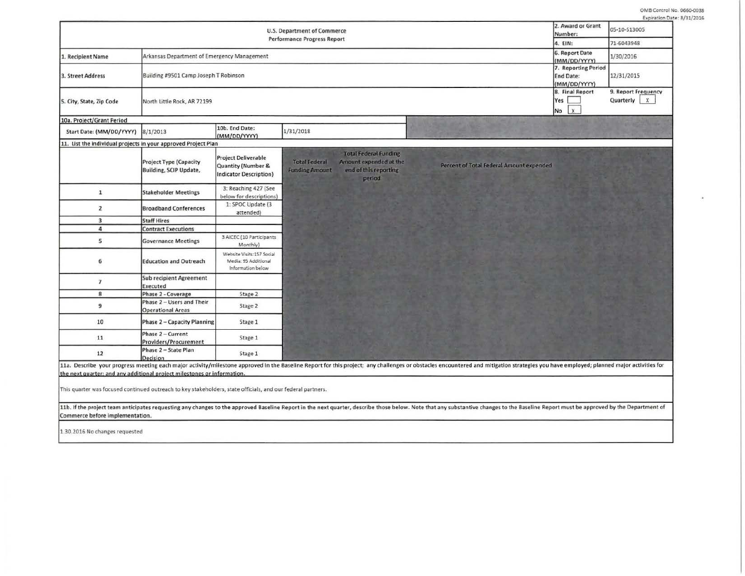OMB Control No. 0660-0038<br>Expiration Date: 8/31/2016

| U.S. Department of Commerce<br><b>Performance Progress Report</b> |                                                         |                                                                                   |                                               |                                                                                           | 2. Award or Grant<br>Number: | 05-10-513005                                            |                                               |  |
|-------------------------------------------------------------------|---------------------------------------------------------|-----------------------------------------------------------------------------------|-----------------------------------------------|-------------------------------------------------------------------------------------------|------------------------------|---------------------------------------------------------|-----------------------------------------------|--|
|                                                                   |                                                         |                                                                                   |                                               |                                                                                           | 4. EIN:                      | 71-6043948                                              |                                               |  |
| 1. Recipient Name                                                 | Arkansas Department of Emergency Management             |                                                                                   |                                               |                                                                                           |                              | 6. Report Date<br>(MM/DD/YYYY)                          | 1/30/2016                                     |  |
| 3. Street Address                                                 | Building #9501 Camp Joseph T Robinson                   |                                                                                   |                                               |                                                                                           |                              | 7. Reporting Period<br><b>End Date:</b><br>(MM/DD/YYYY) | 12/31/2015                                    |  |
| 5. City, State, Zip Code                                          | North Little Rock, AR 72199                             |                                                                                   |                                               |                                                                                           |                              | 8. Final Report<br>Yes  <br><b>x</b><br>No              | 9. Report Frequency<br>Quarterly<br>$\dot{x}$ |  |
| 10a. Project/Grant Period                                         |                                                         |                                                                                   |                                               |                                                                                           |                              |                                                         |                                               |  |
| Start Date: (MM/DD/YYYY)                                          | 8/1/2013                                                | 10b. End Date:<br>(MM/DD/YYYY)                                                    | 1/31/2018                                     |                                                                                           |                              |                                                         |                                               |  |
| 11. List the individual projects in your approved Project Plan    |                                                         |                                                                                   |                                               |                                                                                           |                              |                                                         |                                               |  |
|                                                                   | <b>Project Type (Capacity</b><br>Building, SCIP Update, | <b>Project Deliverable</b><br>Quantity (Number &<br><b>Indicator Description)</b> | <b>Total Federal</b><br><b>Funding Amount</b> | <b>Total Federal Funding</b><br>Amount expended at the<br>end of this reporting<br>period |                              | Percent of Total Federal Amount expended                |                                               |  |
| $\mathbf{1}$                                                      | <b>Stakeholder Meetings</b>                             | 3: Reaching 427 (See<br>below for descriptions)                                   |                                               |                                                                                           |                              |                                                         |                                               |  |
| $\overline{2}$                                                    | <b>Broadband Conferences</b>                            | 1: SPOC Update (3<br>attended)                                                    |                                               |                                                                                           |                              |                                                         |                                               |  |
| $\overline{\mathbf{3}}$                                           | <b>Staff Hires</b>                                      |                                                                                   |                                               |                                                                                           |                              |                                                         |                                               |  |
| $\overline{a}$                                                    | <b>Contract Executions</b>                              |                                                                                   |                                               |                                                                                           |                              |                                                         |                                               |  |
| 5                                                                 | <b>Governance Meetings</b>                              | 3 AICEC (10 Participants<br>Monthly)                                              |                                               |                                                                                           |                              |                                                         |                                               |  |
| 6                                                                 | <b>Education and Outreach</b>                           | Website Visits:157 Social<br>Media: 95 Additional<br>Information below            |                                               |                                                                                           |                              |                                                         |                                               |  |
| $\overline{z}$                                                    | <b>Sub recipient Agreement</b><br>Executed              |                                                                                   |                                               |                                                                                           |                              |                                                         |                                               |  |
| 8                                                                 | Phase 2 - Coverage                                      | Stage 2                                                                           |                                               |                                                                                           |                              |                                                         |                                               |  |
| 9                                                                 | Phase 2 - Users and Their<br><b>Operational Areas</b>   | Stage 2                                                                           |                                               |                                                                                           |                              |                                                         |                                               |  |
| 10                                                                | Phase 2 - Capacity Planning                             | Stage 1                                                                           |                                               |                                                                                           |                              |                                                         |                                               |  |
|                                                                   | Phase 2 - Current                                       | Stage 1                                                                           |                                               |                                                                                           |                              |                                                         |                                               |  |
| 11                                                                | Providers/Procurement<br>Phase 2 - State Plan           |                                                                                   |                                               |                                                                                           |                              |                                                         |                                               |  |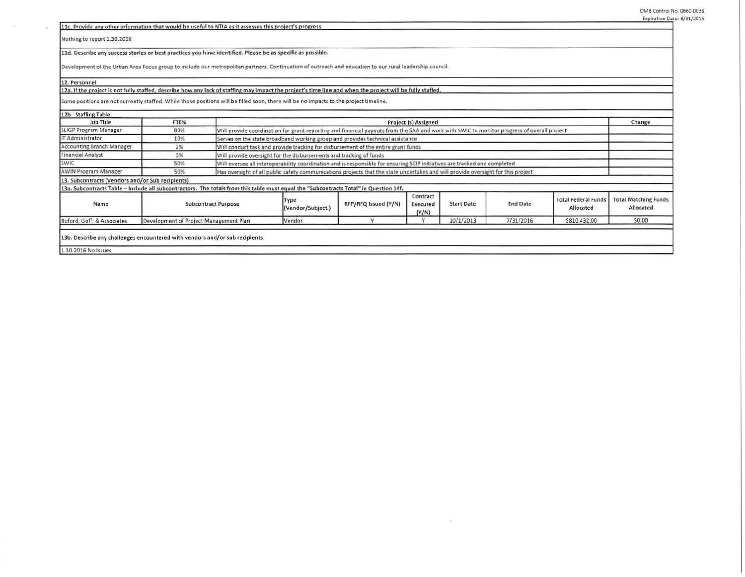**l1c.** Provide any other information that would be useful to NTIA as it assesses this project's progress.

Nothing to report 1.30.2016

11d. Describe any success stories or best practices you have identified. Please be as specific as possible.

Development of the Urban Area Focus group to include our metropolitan partners. Continuation of outreach and education to our rural leadership council.

12. Personnel

 $\mathbb{R}$ 

## 12a. If the project is not fully staffed, describe how any lack of staffing may impact the project's time line and when the project will be fully staffed.

Some positions are not currently staffed. While those positions will be filled soon, there will be no Impacts to the project timeline.

| 12b. Staffing Table                                                                                                                   |                                        |                                                                                                                                            |                           |                      |                               |                   |                 |                                         |                                          |
|---------------------------------------------------------------------------------------------------------------------------------------|----------------------------------------|--------------------------------------------------------------------------------------------------------------------------------------------|---------------------------|----------------------|-------------------------------|-------------------|-----------------|-----------------------------------------|------------------------------------------|
| Job Title                                                                                                                             | FTE%                                   | Project (s) Assigned                                                                                                                       |                           |                      |                               |                   |                 | Change                                  |                                          |
| <b>SLIGP Program Manager</b>                                                                                                          | 80%                                    | Will provide coordination for grant reporting and financial payouts from the SAA and work with SWIC to monitor progress of overall project |                           |                      |                               |                   |                 |                                         |                                          |
| IT Administrator                                                                                                                      | 10%                                    | Serves on the state broadband working group and provides technical assistance                                                              |                           |                      |                               |                   |                 |                                         |                                          |
| Accounting Branch Manager                                                                                                             | 2%                                     | Will conduct task and provide tracking for disbursement of the entire grant funds                                                          |                           |                      |                               |                   |                 |                                         |                                          |
| Financial Analyst                                                                                                                     | 3%                                     | Will provide oversight for the disbursements and tracking of funds                                                                         |                           |                      |                               |                   |                 |                                         |                                          |
| SWIC                                                                                                                                  | 50%                                    | Will oversee all interoperability coordination and is responsible for ensuring SCIP initiatives are tracked and completed                  |                           |                      |                               |                   |                 |                                         |                                          |
| AWIN Program Manager                                                                                                                  | 50%                                    | Has oversight of all public safety communications projects that the state undertakes and will provide oversight for this project           |                           |                      |                               |                   |                 |                                         |                                          |
| 13. Subcontracts (Vendors and/or Sub recipients)                                                                                      |                                        |                                                                                                                                            |                           |                      |                               |                   |                 |                                         |                                          |
| 13a. Subcontracts Table - Include all subcontractors. The totals from this table must equal the "Subcontracts Total" in Question 14f. |                                        |                                                                                                                                            |                           |                      |                               |                   |                 |                                         |                                          |
| Name                                                                                                                                  |                                        | <b>Subcontract Purpose</b>                                                                                                                 | Type<br>(Vendor/Subject.) | RFP/RFQ Issued (Y/N) | Contract<br>Executed<br>(Y/N) | <b>Start Date</b> | <b>End Date</b> | <b>Total Federal Funds</b><br>Allocated | <b>Total Matching Funds</b><br>Allocated |
| Buford, Goff, & Associates                                                                                                            | Development of Project Management Plan |                                                                                                                                            | Vendor                    |                      |                               | 10/1/2013         | 7/31/2016       | \$810,432.00                            | \$0.00                                   |
| 13b. Describe any challenges encountered with vendors and/or sub recipients.                                                          |                                        |                                                                                                                                            |                           |                      |                               |                   |                 |                                         |                                          |
| 1.30.2016 No Issues                                                                                                                   |                                        |                                                                                                                                            |                           |                      |                               |                   |                 |                                         |                                          |

54